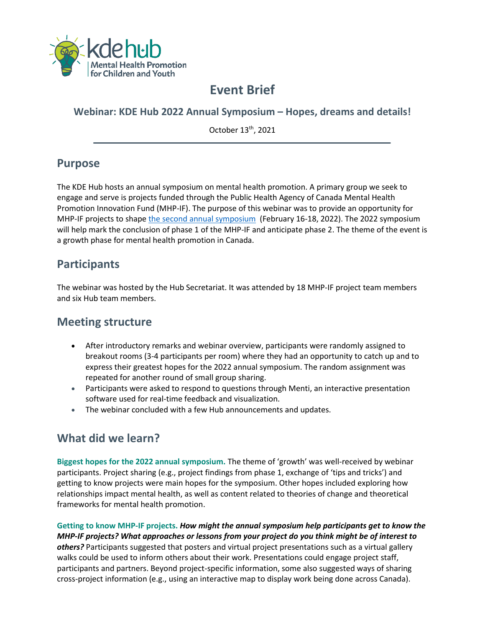

# **Event Brief**

#### **Webinar: KDE Hub 2022 Annual Symposium – Hopes, dreams and details!**

October 13th, 2021

## **Purpose**

The KDE Hub hosts an annual symposium on mental health promotion. A primary group we seek to engage and serve is projects funded through the Public Health Agency of Canada Mental Health Promotion Innovation Fund (MHP-IF). The purpose of this webinar was to provide an opportunity for MHP-IF projects to shape the second [annual symposium](https://kdehub.ca/symposium/) (February 16-18, 2022). The 2022 symposium will help mark the conclusion of phase 1 of the MHP-IF and anticipate phase 2. The theme of the event is a growth phase for mental health promotion in Canada.

### **Participants**

The webinar was hosted by the Hub Secretariat. It was attended by 18 MHP-IF project team members and six Hub team members.

#### **Meeting structure**

- After introductory remarks and webinar overview, participants were randomly assigned to breakout rooms (3-4 participants per room) where they had an opportunity to catch up and to express their greatest hopes for the 2022 annual symposium. The random assignment was repeated for another round of small group sharing.
- Participants were asked to respond to questions through Menti, an interactive presentation software used for real-time feedback and visualization.
- The webinar concluded with a few Hub announcements and updates.

## **What did we learn?**

**Biggest hopes for the 2022 annual symposium.** The theme of 'growth' was well-received by webinar participants. Project sharing (e.g., project findings from phase 1, exchange of 'tips and tricks') and getting to know projects were main hopes for the symposium. Other hopes included exploring how relationships impact mental health, as well as content related to theories of change and theoretical frameworks for mental health promotion.

**Getting to know MHP-IF projects.** *How might the annual symposium help participants get to know the MHP-IF projects? What approaches or lessons from your project do you think might be of interest to others?* Participants suggested that posters and virtual project presentations such as a virtual gallery walks could be used to inform others about their work. Presentations could engage project staff, participants and partners. Beyond project-specific information, some also suggested ways of sharing cross-project information (e.g., using an interactive map to display work being done across Canada).